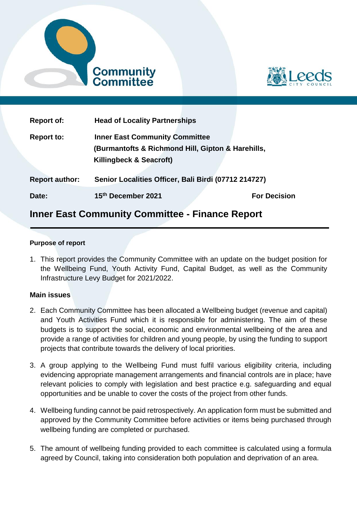



| <b>Report of:</b>     | <b>Head of Locality Partnerships</b>                                                                                  |                     |
|-----------------------|-----------------------------------------------------------------------------------------------------------------------|---------------------|
| <b>Report to:</b>     | <b>Inner East Community Committee</b><br>(Burmantofts & Richmond Hill, Gipton & Harehills,<br>Killingbeck & Seacroft) |                     |
| <b>Report author:</b> | Senior Localities Officer, Bali Birdi (07712 214727)                                                                  |                     |
| Date:                 | 15th December 2021                                                                                                    | <b>For Decision</b> |

# **Inner East Community Committee - Finance Report**

#### **Purpose of report**

1. This report provides the Community Committee with an update on the budget position for the Wellbeing Fund, Youth Activity Fund, Capital Budget, as well as the Community Infrastructure Levy Budget for 2021/2022.

#### **Main issues**

- 2. Each Community Committee has been allocated a Wellbeing budget (revenue and capital) and Youth Activities Fund which it is responsible for administering. The aim of these budgets is to support the social, economic and environmental wellbeing of the area and provide a range of activities for children and young people, by using the funding to support projects that contribute towards the delivery of local priorities.
- 3. A group applying to the Wellbeing Fund must fulfil various eligibility criteria, including evidencing appropriate management arrangements and financial controls are in place; have relevant policies to comply with legislation and best practice e.g. safeguarding and equal opportunities and be unable to cover the costs of the project from other funds.
- 4. Wellbeing funding cannot be paid retrospectively. An application form must be submitted and approved by the Community Committee before activities or items being purchased through wellbeing funding are completed or purchased.
- 5. The amount of wellbeing funding provided to each committee is calculated using a formula agreed by Council, taking into consideration both population and deprivation of an area.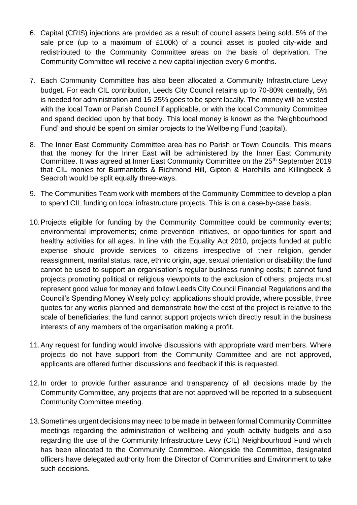- 6. Capital (CRIS) injections are provided as a result of council assets being sold. 5% of the sale price (up to a maximum of £100k) of a council asset is pooled city-wide and redistributed to the Community Committee areas on the basis of deprivation. The Community Committee will receive a new capital injection every 6 months.
- 7. Each Community Committee has also been allocated a Community Infrastructure Levy budget. For each CIL contribution, Leeds City Council retains up to 70-80% centrally, 5% is needed for administration and 15-25% goes to be spent locally. The money will be vested with the local Town or Parish Council if applicable, or with the local Community Committee and spend decided upon by that body. This local money is known as the 'Neighbourhood Fund' and should be spent on similar projects to the Wellbeing Fund (capital).
- 8. The Inner East Community Committee area has no Parish or Town Councils. This means that the money for the Inner East will be administered by the Inner East Community Committee. It was agreed at Inner East Community Committee on the 25<sup>th</sup> September 2019 that CIL monies for Burmantofts & Richmond Hill, Gipton & Harehills and Killingbeck & Seacroft would be split equally three-ways.
- 9. The Communities Team work with members of the Community Committee to develop a plan to spend CIL funding on local infrastructure projects. This is on a case-by-case basis.
- 10.Projects eligible for funding by the Community Committee could be community events; environmental improvements; crime prevention initiatives, or opportunities for sport and healthy activities for all ages. In line with the Equality Act 2010, projects funded at public expense should provide services to citizens irrespective of their religion, gender reassignment, marital status, race, ethnic origin, age, sexual orientation or disability; the fund cannot be used to support an organisation's regular business running costs; it cannot fund projects promoting political or religious viewpoints to the exclusion of others; projects must represent good value for money and follow Leeds City Council Financial Regulations and the Council's Spending Money Wisely policy; applications should provide, where possible, three quotes for any works planned and demonstrate how the cost of the project is relative to the scale of beneficiaries; the fund cannot support projects which directly result in the business interests of any members of the organisation making a profit.
- 11.Any request for funding would involve discussions with appropriate ward members. Where projects do not have support from the Community Committee and are not approved, applicants are offered further discussions and feedback if this is requested.
- 12.In order to provide further assurance and transparency of all decisions made by the Community Committee, any projects that are not approved will be reported to a subsequent Community Committee meeting.
- 13.Sometimes urgent decisions may need to be made in between formal Community Committee meetings regarding the administration of wellbeing and youth activity budgets and also regarding the use of the Community Infrastructure Levy (CIL) Neighbourhood Fund which has been allocated to the Community Committee. Alongside the Committee, designated officers have delegated authority from the Director of Communities and Environment to take such decisions.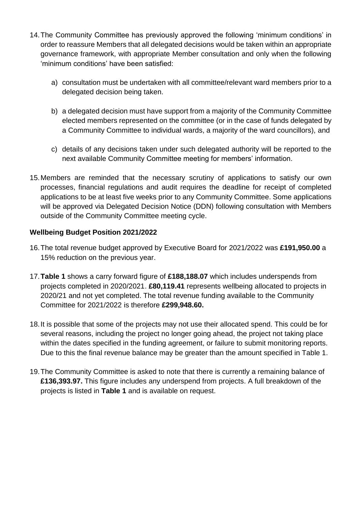- 14.The Community Committee has previously approved the following 'minimum conditions' in order to reassure Members that all delegated decisions would be taken within an appropriate governance framework, with appropriate Member consultation and only when the following 'minimum conditions' have been satisfied:
	- a) consultation must be undertaken with all committee/relevant ward members prior to a delegated decision being taken.
	- b) a delegated decision must have support from a majority of the Community Committee elected members represented on the committee (or in the case of funds delegated by a Community Committee to individual wards, a majority of the ward councillors), and
	- c) details of any decisions taken under such delegated authority will be reported to the next available Community Committee meeting for members' information.
- 15.Members are reminded that the necessary scrutiny of applications to satisfy our own processes, financial regulations and audit requires the deadline for receipt of completed applications to be at least five weeks prior to any Community Committee. Some applications will be approved via Delegated Decision Notice (DDN) following consultation with Members outside of the Community Committee meeting cycle.

# **Wellbeing Budget Position 2021/2022**

- 16.The total revenue budget approved by Executive Board for 2021/2022 was **£191,950.00** a 15% reduction on the previous year.
- 17.**Table 1** shows a carry forward figure of **£188,188.07** which includes underspends from projects completed in 2020/2021. **£80,119.41** represents wellbeing allocated to projects in 2020/21 and not yet completed. The total revenue funding available to the Community Committee for 2021/2022 is therefore **£299,948.60.**
- 18.It is possible that some of the projects may not use their allocated spend. This could be for several reasons, including the project no longer going ahead, the project not taking place within the dates specified in the funding agreement, or failure to submit monitoring reports. Due to this the final revenue balance may be greater than the amount specified in Table 1.
- 19.The Community Committee is asked to note that there is currently a remaining balance of **£136,393.97.** This figure includes any underspend from projects. A full breakdown of the projects is listed in **Table 1** and is available on request.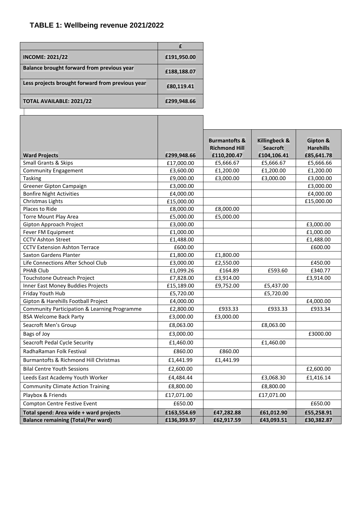# **TABLE 1: Wellbeing revenue 2021/2022**

Г

| <b>INCOME: 2021/22</b>                           | £191,950.00 |
|--------------------------------------------------|-------------|
| Balance brought forward from previous year       | £188,188.07 |
| Less projects brought forward from previous year | £80,119.41  |
| <b>TOTAL AVAILABLE: 2021/22</b>                  | £299,948.66 |

| <b>Ward Projects</b>                         | £299,948.66 | <b>Burmantofts &amp;</b><br><b>Richmond Hill</b><br>£110,200.47 | Killingbeck &<br><b>Seacroft</b><br>£104,106.41 | Gipton &<br><b>Harehills</b><br>£85,641.78 |
|----------------------------------------------|-------------|-----------------------------------------------------------------|-------------------------------------------------|--------------------------------------------|
| Small Grants & Skips                         | £17,000.00  | £5,666.67                                                       | £5,666.67                                       | £5,666.66                                  |
| <b>Community Engagement</b>                  | £3,600.00   | £1,200.00                                                       | £1,200.00                                       | £1,200.00                                  |
| <b>Tasking</b>                               | £9,000.00   | £3,000.00                                                       | £3,000.00                                       | £3,000.00                                  |
| Greener Gipton Campaign                      | £3,000.00   |                                                                 |                                                 | £3,000.00                                  |
| <b>Bonfire Night Activities</b>              | £4,000.00   |                                                                 |                                                 | £4,000.00                                  |
| Christmas Lights                             | £15,000.00  |                                                                 |                                                 | £15,000.00                                 |
| Places to Ride                               | £8,000.00   | £8,000.00                                                       |                                                 |                                            |
| Torre Mount Play Area                        | £5,000.00   | £5,000.00                                                       |                                                 |                                            |
| Gipton Approach Project                      | £3,000.00   |                                                                 |                                                 | £3,000.00                                  |
| Fever FM Equipment                           | £1,000.00   |                                                                 |                                                 | £1,000.00                                  |
| <b>CCTV Ashton Street</b>                    | £1,488.00   |                                                                 |                                                 | £1,488.00                                  |
| <b>CCTV Extension Ashton Terrace</b>         | £600.00     |                                                                 |                                                 | £600.00                                    |
| <b>Saxton Gardens Planter</b>                | £1,800.00   | £1,800.00                                                       |                                                 |                                            |
| Life Connections After School Club           | £3,000.00   | £2,550.00                                                       |                                                 | £450.00                                    |
| <b>PHAB Club</b>                             | £1,099.26   | £164.89                                                         | £593.60                                         | £340.77                                    |
| Touchstone Outreach Project                  | £7,828.00   | £3,914.00                                                       |                                                 | £3,914.00                                  |
| Inner East Money Buddies Projects            | £15,189.00  | £9,752.00                                                       | £5,437.00                                       |                                            |
| Friday Youth Hub                             | £5,720.00   |                                                                 | £5,720.00                                       |                                            |
| Gipton & Harehills Football Project          | £4,000.00   |                                                                 |                                                 | £4,000.00                                  |
| Community Participation & Learning Programme | £2,800.00   | £933.33                                                         | £933.33                                         | £933.34                                    |
| <b>BSA Welcome Back Party</b>                | £3,000.00   | £3,000.00                                                       |                                                 |                                            |
| Seacroft Men's Group                         | £8,063.00   |                                                                 | £8,063.00                                       |                                            |
| Bags of Joy                                  | £3,000.00   |                                                                 |                                                 | £3000.00                                   |
| Seacroft Pedal Cycle Security                | £1,460.00   |                                                                 | £1,460.00                                       |                                            |
| RadhaRaman Folk Festival                     | £860.00     | £860.00                                                         |                                                 |                                            |
| Burmantofts & Richmond Hill Christmas        | £1,441.99   | £1,441.99                                                       |                                                 |                                            |
| <b>Bilal Centre Youth Sessions</b>           | £2,600.00   |                                                                 |                                                 | £2,600.00                                  |
| Leeds East Academy Youth Worker              | £4,484.44   |                                                                 | £3,068.30                                       | £1,416.14                                  |
| <b>Community Climate Action Training</b>     | £8,800.00   |                                                                 | £8,800.00                                       |                                            |
| Playbox & Friends                            | £17,071.00  |                                                                 | £17,071.00                                      |                                            |
| Compton Centre Festive Event                 | £650.00     |                                                                 |                                                 | £650.00                                    |
| Total spend: Area wide + ward projects       | £163,554.69 | £47,282.88                                                      | £61,012.90                                      | £55,258.91                                 |
| <b>Balance remaining (Total/Per ward)</b>    | £136,393.97 | £62,917.59                                                      | £43,093.51                                      | £30,382.87                                 |

T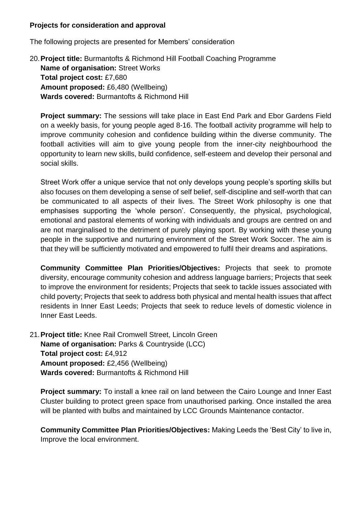#### **Projects for consideration and approval**

The following projects are presented for Members' consideration

20.**Project title:** Burmantofts & Richmond Hill Football Coaching Programme **Name of organisation:** Street Works **Total project cost:** £7,680 **Amount proposed:** £6,480 (Wellbeing) **Wards covered:** Burmantofts & Richmond Hill

**Project summary:** The sessions will take place in East End Park and Ebor Gardens Field on a weekly basis, for young people aged 8-16. The football activity programme will help to improve community cohesion and confidence building within the diverse community. The football activities will aim to give young people from the inner-city neighbourhood the opportunity to learn new skills, build confidence, self-esteem and develop their personal and social skills.

Street Work offer a unique service that not only develops young people's sporting skills but also focuses on them developing a sense of self belief, self-discipline and self-worth that can be communicated to all aspects of their lives. The Street Work philosophy is one that emphasises supporting the 'whole person'. Consequently, the physical, psychological, emotional and pastoral elements of working with individuals and groups are centred on and are not marginalised to the detriment of purely playing sport. By working with these young people in the supportive and nurturing environment of the Street Work Soccer. The aim is that they will be sufficiently motivated and empowered to fulfil their dreams and aspirations.

**Community Committee Plan Priorities/Objectives:** Projects that seek to promote diversity, encourage community cohesion and address language barriers; Projects that seek to improve the environment for residents; Projects that seek to tackle issues associated with child poverty; Projects that seek to address both physical and mental health issues that affect residents in Inner East Leeds; Projects that seek to reduce levels of domestic violence in Inner East Leeds.

21.**Project title:** Knee Rail Cromwell Street, Lincoln Green **Name of organisation:** Parks & Countryside (LCC) **Total project cost:** £4,912 **Amount proposed:** £2,456 (Wellbeing) **Wards covered:** Burmantofts & Richmond Hill

**Project summary:** To install a knee rail on land between the Cairo Lounge and Inner East Cluster building to protect green space from unauthorised parking. Once installed the area will be planted with bulbs and maintained by LCC Grounds Maintenance contactor.

**Community Committee Plan Priorities/Objectives:** Making Leeds the 'Best City' to live in, Improve the local environment.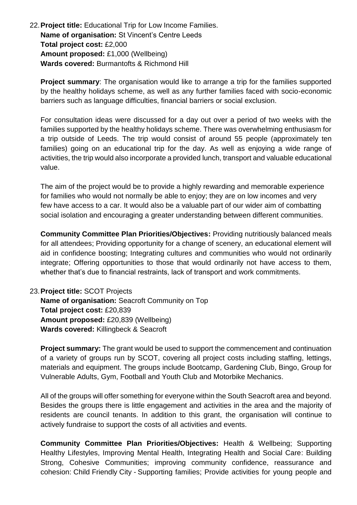22.**Project title:** Educational Trip for Low Income Families. **Name of organisation:** St Vincent's Centre Leeds **Total project cost:** £2,000 **Amount proposed:** £1,000 (Wellbeing) **Wards covered:** Burmantofts & Richmond Hill

**Project summary**: The organisation would like to arrange a trip for the families supported by the healthy holidays scheme, as well as any further families faced with socio-economic barriers such as language difficulties, financial barriers or social exclusion.

For consultation ideas were discussed for a day out over a period of two weeks with the families supported by the healthy holidays scheme. There was overwhelming enthusiasm for a trip outside of Leeds. The trip would consist of around 55 people (approximately ten families) going on an educational trip for the day. As well as enjoying a wide range of activities, the trip would also incorporate a provided lunch, transport and valuable educational value.

The aim of the project would be to provide a highly rewarding and memorable experience for families who would not normally be able to enjoy; they are on low incomes and very few have access to a car. It would also be a valuable part of our wider aim of combatting social isolation and encouraging a greater understanding between different communities.

**Community Committee Plan Priorities/Objectives:** Providing nutritiously balanced meals for all attendees; Providing opportunity for a change of scenery, an educational element will aid in confidence boosting; Integrating cultures and communities who would not ordinarily integrate; Offering opportunities to those that would ordinarily not have access to them, whether that's due to financial restraints, lack of transport and work commitments.

# 23.**Project title:** SCOT Projects

**Name of organisation:** Seacroft Community on Top **Total project cost:** £20,839 **Amount proposed:** £20,839 (Wellbeing) **Wards covered:** Killingbeck & Seacroft

**Project summary:** The grant would be used to support the commencement and continuation of a variety of groups run by SCOT, covering all project costs including staffing, lettings, materials and equipment. The groups include Bootcamp, Gardening Club, Bingo, Group for Vulnerable Adults, Gym, Football and Youth Club and Motorbike Mechanics.

All of the groups will offer something for everyone within the South Seacroft area and beyond. Besides the groups there is little engagement and activities in the area and the majority of residents are council tenants. In addition to this grant, the organisation will continue to actively fundraise to support the costs of all activities and events.

**Community Committee Plan Priorities/Objectives:** Health & Wellbeing; Supporting Healthy Lifestyles, Improving Mental Health, Integrating Health and Social Care: Building Strong, Cohesive Communities; improving community confidence, reassurance and cohesion: Child Friendly City - Supporting families; Provide activities for young people and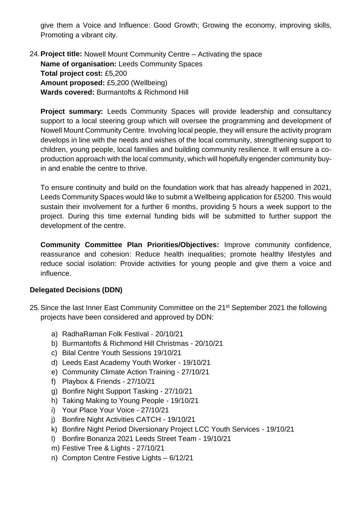give them a Voice and Influence: Good Growth; Growing the economy, improving skills, Promoting a vibrant city.

24.**Project title:** Nowell Mount Community Centre – Activating the space **Name of organisation:** Leeds Community Spaces **Total project cost:** £5,200 **Amount proposed:** £5,200 (Wellbeing) **Wards covered:** Burmantofts & Richmond Hill

**Project summary:** Leeds Community Spaces will provide leadership and consultancy support to a local steering group which will oversee the programming and development of Nowell Mount Community Centre. Involving local people, they will ensure the activity program develops in line with the needs and wishes of the local community, strengthening support to children, young people, local families and building community resilience. It will ensure a coproduction approach with the local community, which will hopefully engender community buyin and enable the centre to thrive.

To ensure continuity and build on the foundation work that has already happened in 2021, Leeds Community Spaces would like to submit a Wellbeing application for £5200. This would sustain their involvement for a further 6 months, providing 5 hours a week support to the project. During this time external funding bids will be submitted to further support the development of the centre.

**Community Committee Plan Priorities/Objectives:** Improve community confidence, reassurance and cohesion: Reduce health inequalities; promote healthy lifestyles and reduce social isolation: Provide activities for young people and give them a voice and influence.

# **Delegated Decisions (DDN)**

- 25. Since the last Inner East Community Committee on the 21<sup>st</sup> September 2021 the following projects have been considered and approved by DDN:
	- a) RadhaRaman Folk Festival 20/10/21
	- b) Burmantofts & Richmond Hill Christmas 20/10/21
	- c) Bilal Centre Youth Sessions 19/10/21
	- d) Leeds East Academy Youth Worker 19/10/21
	- e) Community Climate Action Training 27/10/21
	- f) Playbox & Friends 27/10/21
	- g) Bonfire Night Support Tasking 27/10/21
	- h) Taking Making to Young People 19/10/21
	- i) Your Place Your Voice 27/10/21
	- j) Bonfire Night Activities CATCH 19/10/21
	- k) Bonfire Night Period Diversionary Project LCC Youth Services 19/10/21
	- l) Bonfire Bonanza 2021 Leeds Street Team 19/10/21
	- m) Festive Tree & Lights 27/10/21
	- n) Compton Centre Festive Lights 6/12/21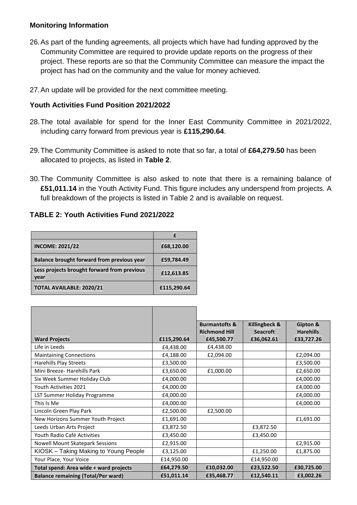### **Monitoring Information**

- 26.As part of the funding agreements, all projects which have had funding approved by the Community Committee are required to provide update reports on the progress of their project. These reports are so that the Community Committee can measure the impact the project has had on the community and the value for money achieved.
- 27.An update will be provided for the next committee meeting.

# **Youth Activities Fund Position 2021/2022**

- 28.The total available for spend for the Inner East Community Committee in 2021/2022, including carry forward from previous year is **£115,290.64**.
- 29.The Community Committee is asked to note that so far, a total of **£64,279.50** has been allocated to projects, as listed in **Table 2**.
- 30.The Community Committee is also asked to note that there is a remaining balance of **£51,011.14** in the Youth Activity Fund. This figure includes any underspend from projects. A full breakdown of the projects is listed in Table 2 and is available on request.

# **TABLE 2: Youth Activities Fund 2021/2022**

| <b>INCOME: 2021/22</b>                              | £68,120.00  |
|-----------------------------------------------------|-------------|
| Balance brought forward from previous year          | £59,784.49  |
| Less projects brought forward from previous<br>year | £12,613.85  |
| TOTAL AVAILABLE: 2020/21                            | £115,290.64 |

|                                           |             | <b>Burmantofts &amp;</b><br><b>Richmond Hill</b> | Killingbeck &<br><b>Seacroft</b> | Gipton &<br><b>Harehills</b> |
|-------------------------------------------|-------------|--------------------------------------------------|----------------------------------|------------------------------|
| <b>Ward Projects</b>                      | £115,290.64 | £45,500.77                                       | £36,062.61                       | £33,727.26                   |
| Life in Leeds                             | £4,438.00   | £4,438.00                                        |                                  |                              |
| <b>Maintaining Connections</b>            | £4,188.00   | £2,094.00                                        |                                  | £2,094.00                    |
| Harehills Play Streets                    | £3,500.00   |                                                  |                                  | £3,500.00                    |
| Mini Breeze- Harehills Park               | £3,650.00   | £1,000.00                                        |                                  | £2,650.00                    |
| Six Week Summer Holiday Club              | £4,000.00   |                                                  |                                  | £4,000.00                    |
| Youth Activities 2021                     | £4,000.00   |                                                  |                                  | £4,000.00                    |
| LST Summer Holiday Programme              | £4,000.00   |                                                  |                                  | £4,000.00                    |
| This Is Me                                | £4,000.00   |                                                  |                                  | £4,000.00                    |
| Lincoln Green Play Park                   | £2,500.00   | £2,500.00                                        |                                  |                              |
| New Horizons Summer Youth Project         | £1,691.00   |                                                  |                                  | £1,691.00                    |
| Leeds Urban Arts Project                  | £3,872.50   |                                                  | £3,872.50                        |                              |
| Youth Radio Café Activities               | £3,450.00   |                                                  | £3,450.00                        |                              |
| <b>Nowell Mount Skatepark Sessions</b>    | £2,915.00   |                                                  |                                  | £2,915.00                    |
| KIOSK - Taking Making to Young People     | £3,125.00   |                                                  | £1,250.00                        | £1,875.00                    |
| Your Place, Your Voice                    | £14,950.00  |                                                  | £14,950.00                       |                              |
| Total spend: Area wide + ward projects    | £64,279.50  | £10,032.00                                       | £23,522.50                       | £30,725.00                   |
| <b>Balance remaining (Total/Per ward)</b> | £51,011.14  | £35,468.77                                       | £12,540.11                       | £3,002.26                    |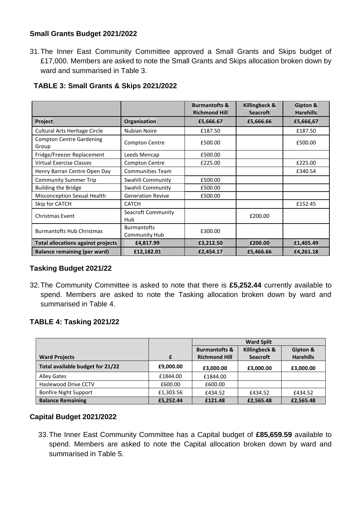# **Small Grants Budget 2021/2022**

31.The Inner East Community Committee approved a Small Grants and Skips budget of £17,000. Members are asked to note the Small Grants and Skips allocation broken down by ward and summarised in Table 3.

|                                           |                                            | <b>Burmantofts &amp;</b><br><b>Richmond Hill</b> | Killingbeck &<br><b>Seacroft</b> | Gipton &<br><b>Harehills</b> |
|-------------------------------------------|--------------------------------------------|--------------------------------------------------|----------------------------------|------------------------------|
| Project                                   | Organisation                               | £5,666.67                                        | £5,666.66                        | £5,666,67                    |
| <b>Cultural Arts Heritage Circle</b>      | <b>Nubian Noire</b>                        | £187.50                                          |                                  | £187.50                      |
| <b>Compton Centre Gardening</b><br>Group  | <b>Compton Centre</b>                      | £500.00                                          |                                  | £500.00                      |
| Fridge/Freezer Replacement                | Leeds Mencap                               | £500.00                                          |                                  |                              |
| <b>Virtual Exercise Classes</b>           | <b>Compton Centre</b>                      | £225.00                                          |                                  | £225.00                      |
| Henry Barran Centre Open Day              | <b>Communities Team</b>                    |                                                  |                                  | £340.54                      |
| <b>Community Summer Trip</b>              | Swahili Community                          | £500.00                                          |                                  |                              |
| <b>Building the Bridge</b>                | Swahili Community                          | £500.00                                          |                                  |                              |
| Misconception Sexual Health               | <b>Generation Revive</b>                   | £500.00                                          |                                  |                              |
| Skip for CATCH                            | <b>CATCH</b>                               |                                                  |                                  | £152.45                      |
| <b>Christmas Event</b>                    | Seacroft Community<br>Hub                  |                                                  | £200.00                          |                              |
| <b>Burmantofts Hub Christmas</b>          | <b>Burmantofts</b><br><b>Community Hub</b> | £300.00                                          |                                  |                              |
| <b>Total allocations against projects</b> | £4,817.99                                  | £3,212.50                                        | £200.00                          | £1,405.49                    |
| <b>Balance remaining (per ward)</b>       | £12,182.01                                 | £2,454.17                                        | £5,466.66                        | £4,261.18                    |

# **TABLE 3: Small Grants & Skips 2021/2022**

# **Tasking Budget 2021/22**

32.The Community Committee is asked to note that there is **£5,252.44** currently available to spend. Members are asked to note the Tasking allocation broken down by ward and summarised in Table 4.

# **TABLE 4: Tasking 2021/22**

|                                  |           | <b>Ward Split</b>        |                 |                  |
|----------------------------------|-----------|--------------------------|-----------------|------------------|
|                                  |           | <b>Burmantofts &amp;</b> | Killingbeck &   | Gipton &         |
| <b>Ward Projects</b>             |           | <b>Richmond Hill</b>     | <b>Seacroft</b> | <b>Harehills</b> |
| Total available budget for 21/22 | £9,000.00 | £3,000.00                | £3,000.00       | £3,000.00        |
| <b>Alley Gates</b>               | £1844.00  | £1844.00                 |                 |                  |
| Haslewood Drive CCTV             | £600.00   | £600.00                  |                 |                  |
| <b>Bonfire Night Support</b>     | £1,303.56 | £434.52                  | £434.52         | £434.52          |
| <b>Balance Remaining</b>         | £5,252.44 | £121.48                  | £2,565.48       | £2,565.48        |

# **Capital Budget 2021/2022**

33.The Inner East Community Committee has a Capital budget of **£85,659.59** available to spend. Members are asked to note the Capital allocation broken down by ward and summarised in Table 5.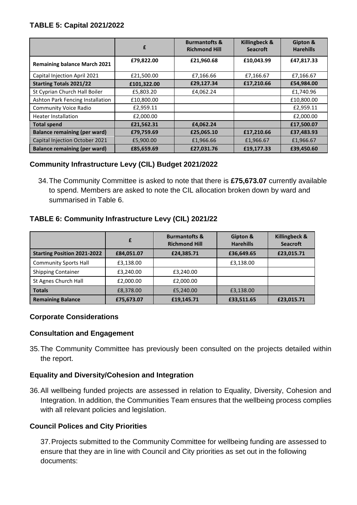# **TABLE 5: Capital 2021/2022**

|                                       | £           | <b>Burmantofts &amp;</b><br><b>Richmond Hill</b> | Killingbeck &<br><b>Seacroft</b> | Gipton &<br><b>Harehills</b> |
|---------------------------------------|-------------|--------------------------------------------------|----------------------------------|------------------------------|
| <b>Remaining balance March 2021</b>   | £79,822.00  | £21,960.68                                       | £10,043.99                       | £47,817.33                   |
| Capital Injection April 2021          | £21,500.00  | £7,166.66                                        | £7,166.67                        | £7,166.67                    |
| <b>Starting Totals 2021/22</b>        | £101,322.00 | £29,127.34                                       | £17,210.66                       | £54,984.00                   |
| St Cyprian Church Hall Boiler         | £5,803.20   | £4,062.24                                        |                                  | £1,740.96                    |
| Ashton Park Fencing Installation      | £10,800.00  |                                                  |                                  | £10,800.00                   |
| <b>Community Voice Radio</b>          | £2,959.11   |                                                  |                                  | £2,959.11                    |
| <b>Heater Installation</b>            | £2,000.00   |                                                  |                                  | £2,000.00                    |
| <b>Total spend</b>                    | £21,562.31  | £4,062.24                                        |                                  | £17,500.07                   |
| <b>Balance remaining (per ward)</b>   | £79,759.69  | £25,065.10                                       | £17,210.66                       | £37,483.93                   |
| <b>Capital Injection October 2021</b> | £5,900.00   | £1,966.66                                        | £1,966.67                        | £1,966.67                    |
| <b>Balance remaining (per ward)</b>   | £85,659.69  | £27,031.76                                       | £19,177.33                       | £39,450.60                   |

# **Community Infrastructure Levy (CIL) Budget 2021/2022**

34.The Community Committee is asked to note that there is **£75,673.07** currently available to spend. Members are asked to note the CIL allocation broken down by ward and summarised in Table 6.

# **TABLE 6: Community Infrastructure Levy (CIL) 2021/22**

|                                    | £          | <b>Burmantofts &amp;</b><br><b>Richmond Hill</b> | Gipton &<br><b>Harehills</b> | <b>Killingbeck &amp;</b><br><b>Seacroft</b> |
|------------------------------------|------------|--------------------------------------------------|------------------------------|---------------------------------------------|
| <b>Starting Position 2021-2022</b> | £84,051.07 | £24,385.71                                       | £36,649.65                   | £23,015.71                                  |
| <b>Community Sports Hall</b>       | £3,138.00  |                                                  | £3,138.00                    |                                             |
| <b>Shipping Container</b>          | £3,240.00  | £3,240.00                                        |                              |                                             |
| St Agnes Church Hall               | £2,000.00  | £2,000.00                                        |                              |                                             |
| <b>Totals</b>                      | £8,378.00  | £5,240.00                                        | £3,138.00                    |                                             |
| <b>Remaining Balance</b>           | £75,673.07 | £19,145.71                                       | £33,511.65                   | £23,015.71                                  |

# **Corporate Considerations**

# **Consultation and Engagement**

35.The Community Committee has previously been consulted on the projects detailed within the report.

# **Equality and Diversity/Cohesion and Integration**

36.All wellbeing funded projects are assessed in relation to Equality, Diversity, Cohesion and Integration. In addition, the Communities Team ensures that the wellbeing process complies with all relevant policies and legislation.

# **Council Polices and City Priorities**

37.Projects submitted to the Community Committee for wellbeing funding are assessed to ensure that they are in line with Council and City priorities as set out in the following documents: